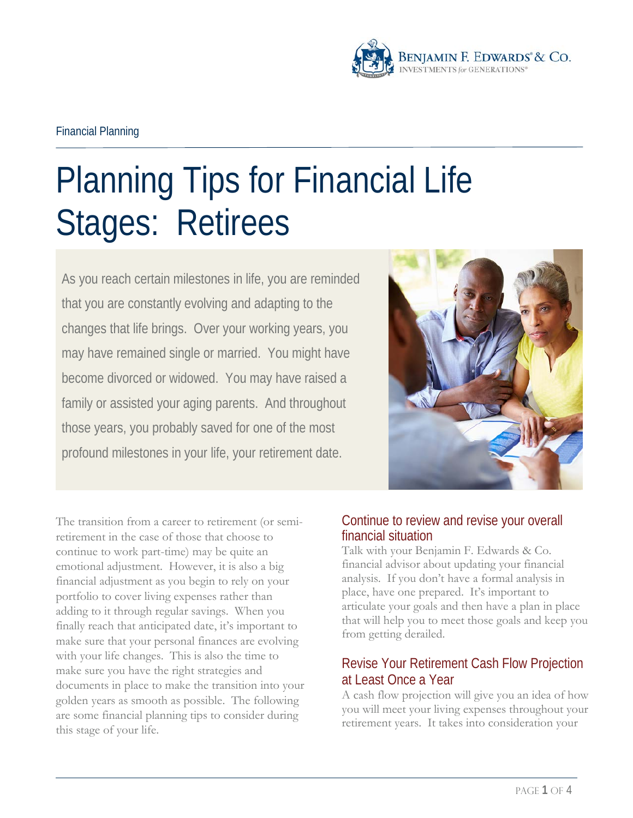

# Planning Tips for Financial Life Stages: Retirees

As you reach certain milestones in life, you are reminded that you are constantly evolving and adapting to the changes that life brings. Over your working years, you may have remained single or married. You might have become divorced or widowed. You may have raised a family or assisted your aging parents. And throughout those years, you probably saved for one of the most profound milestones in your life, your retirement date.



The transition from a career to retirement (or semiretirement in the case of those that choose to continue to work part-time) may be quite an emotional adjustment. However, it is also a big financial adjustment as you begin to rely on your portfolio to cover living expenses rather than adding to it through regular savings. When you finally reach that anticipated date, it's important to make sure that your personal finances are evolving with your life changes. This is also the time to make sure you have the right strategies and documents in place to make the transition into your golden years as smooth as possible. The following are some financial planning tips to consider during this stage of your life.

# Continue to review and revise your overall financial situation

Talk with your Benjamin F. Edwards & Co. financial advisor about updating your financial analysis. If you don't have a formal analysis in place, have one prepared. It's important to articulate your goals and then have a plan in place that will help you to meet those goals and keep you from getting derailed.

# Revise Your Retirement Cash Flow Projection at Least Once a Year

A cash flow projection will give you an idea of how you will meet your living expenses throughout your retirement years. It takes into consideration your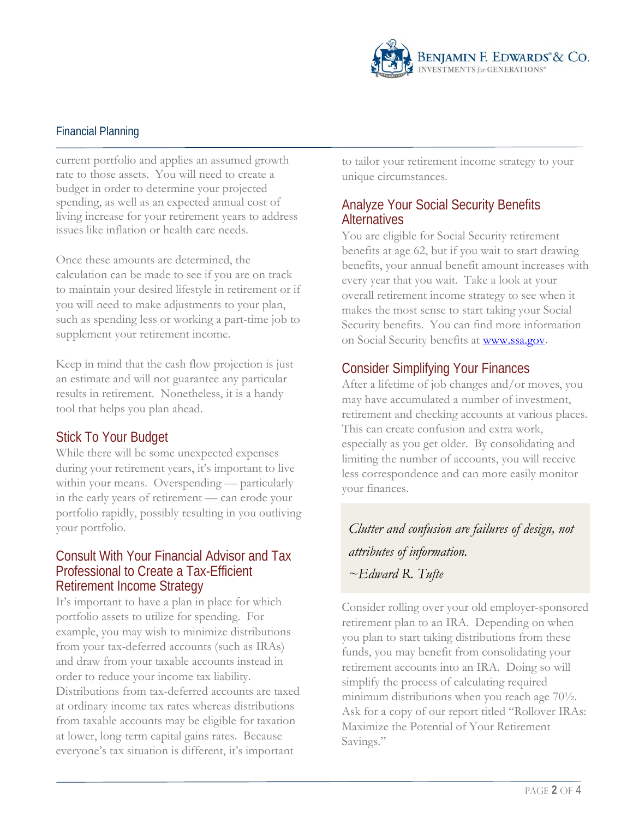

current portfolio and applies an assumed growth rate to those assets. You will need to create a budget in order to determine your projected spending, as well as an expected annual cost of living increase for your retirement years to address issues like inflation or health care needs.

Once these amounts are determined, the calculation can be made to see if you are on track to maintain your desired lifestyle in retirement or if you will need to make adjustments to your plan, such as spending less or working a part-time job to supplement your retirement income.

Keep in mind that the cash flow projection is just an estimate and will not guarantee any particular results in retirement. Nonetheless, it is a handy tool that helps you plan ahead.

## Stick To Your Budget

While there will be some unexpected expenses during your retirement years, it's important to live within your means. Overspending — particularly in the early years of retirement — can erode your portfolio rapidly, possibly resulting in you outliving your portfolio.

#### Consult With Your Financial Advisor and Tax Professional to Create a Tax-Efficient Retirement Income Strategy

It's important to have a plan in place for which portfolio assets to utilize for spending. For example, you may wish to minimize distributions from your tax-deferred accounts (such as IRAs) and draw from your taxable accounts instead in order to reduce your income tax liability. Distributions from tax-deferred accounts are taxed at ordinary income tax rates whereas distributions from taxable accounts may be eligible for taxation at lower, long-term capital gains rates. Because everyone's tax situation is different, it's important

to tailor your retirement income strategy to your unique circumstances.

#### Analyze Your Social Security Benefits **Alternatives**

You are eligible for Social Security retirement benefits at age 62, but if you wait to start drawing benefits, your annual benefit amount increases with every year that you wait. Take a look at your overall retirement income strategy to see when it makes the most sense to start taking your Social Security benefits. You can find more information on Social Security benefits at [www.ssa.gov.](file://BFEHOFS01/HQ/Corporate%20Communications/Sales%20and%20Marketing/Sales%20&%20Marketing%20Reports/Templates/Word/www.ssa.gov)

## Consider Simplifying Your Finances

After a lifetime of job changes and/or moves, you may have accumulated a number of investment, retirement and checking accounts at various places. This can create confusion and extra work, especially as you get older. By consolidating and limiting the number of accounts, you will receive less correspondence and can more easily monitor your finances.

*Clutter and confusion are failures of design, not attributes of information. ~Edward R. Tufte*

Consider rolling over your old employer-sponsored retirement plan to an IRA. Depending on when you plan to start taking distributions from these funds, you may benefit from consolidating your retirement accounts into an IRA. Doing so will simplify the process of calculating required minimum distributions when you reach age 70½. Ask for a copy of our report titled "Rollover IRAs: Maximize the Potential of Your Retirement Savings."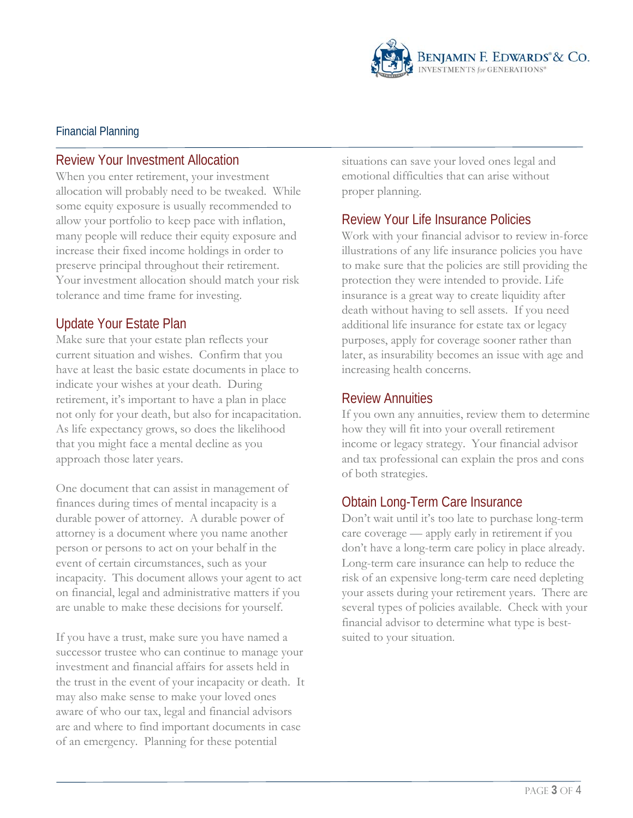

## Review Your Investment Allocation

When you enter retirement, your investment allocation will probably need to be tweaked. While some equity exposure is usually recommended to allow your portfolio to keep pace with inflation, many people will reduce their equity exposure and increase their fixed income holdings in order to preserve principal throughout their retirement. Your investment allocation should match your risk tolerance and time frame for investing.

# Update Your Estate Plan

Make sure that your estate plan reflects your current situation and wishes. Confirm that you have at least the basic estate documents in place to indicate your wishes at your death. During retirement, it's important to have a plan in place not only for your death, but also for incapacitation. As life expectancy grows, so does the likelihood that you might face a mental decline as you approach those later years.

One document that can assist in management of finances during times of mental incapacity is a durable power of attorney. A durable power of attorney is a document where you name another person or persons to act on your behalf in the event of certain circumstances, such as your incapacity. This document allows your agent to act on financial, legal and administrative matters if you are unable to make these decisions for yourself.

If you have a trust, make sure you have named a successor trustee who can continue to manage your investment and financial affairs for assets held in the trust in the event of your incapacity or death. It may also make sense to make your loved ones aware of who our tax, legal and financial advisors are and where to find important documents in case of an emergency. Planning for these potential

situations can save your loved ones legal and emotional difficulties that can arise without proper planning.

## Review Your Life Insurance Policies

Work with your financial advisor to review in-force illustrations of any life insurance policies you have to make sure that the policies are still providing the protection they were intended to provide. Life insurance is a great way to create liquidity after death without having to sell assets. If you need additional life insurance for estate tax or legacy purposes, apply for coverage sooner rather than later, as insurability becomes an issue with age and increasing health concerns.

## Review Annuities

If you own any annuities, review them to determine how they will fit into your overall retirement income or legacy strategy. Your financial advisor and tax professional can explain the pros and cons of both strategies.

# Obtain Long-Term Care Insurance

Don't wait until it's too late to purchase long-term care coverage — apply early in retirement if you don't have a long-term care policy in place already. Long-term care insurance can help to reduce the risk of an expensive long-term care need depleting your assets during your retirement years. There are several types of policies available. Check with your financial advisor to determine what type is bestsuited to your situation.